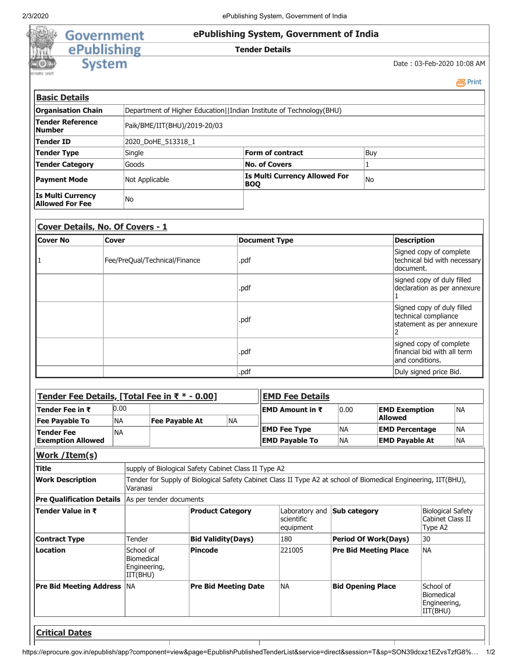# Government<br>
ePublishing<br>
System

## **ePublishing System, Government of India**

## **Tender Details**

Date : 03-Feb-2020 10:08 AM

**昌**Print

| <b>Basic Details</b>                               |                              |                                                                     |           |  |
|----------------------------------------------------|------------------------------|---------------------------------------------------------------------|-----------|--|
| <b>Organisation Chain</b>                          |                              | Department of Higher Education  Indian Institute of Technology(BHU) |           |  |
| Tender Reference<br><b>Number</b>                  | Paik/BME/IIT(BHU)/2019-20/03 |                                                                     |           |  |
| Tender ID                                          | 2020 DoHE 513318 1           |                                                                     |           |  |
| Tender Type                                        | Single                       | <b>Form of contract</b>                                             | Buy       |  |
| <b>Tender Category</b>                             | Goods                        | <b>No. of Covers</b>                                                |           |  |
| <b>Payment Mode</b>                                | Not Applicable               | <b>Is Multi Currency Allowed For</b><br><b>BOO</b>                  | <b>No</b> |  |
| <b>Is Multi Currency</b><br><b>Allowed For Fee</b> | No                           |                                                                     |           |  |

# **Cover Details, No. Of Covers - 1**

| Cover No | <b>Cover</b>                  | <b>Document Type</b> | <b>Description</b>                                                              |
|----------|-------------------------------|----------------------|---------------------------------------------------------------------------------|
|          | Fee/PreQual/Technical/Finance | .pdf                 | Signed copy of complete<br>technical bid with necessary<br>document.            |
|          |                               | .pdf                 | signed copy of duly filled<br>declaration as per annexure                       |
|          |                               | .pdf                 | Signed copy of duly filled<br>technical compliance<br>statement as per annexure |
|          |                               | .pdf                 | signed copy of complete<br>financial bid with all term<br>and conditions.       |
|          |                               | .pdf                 | Duly signed price Bid.                                                          |

|                                                                                                                            | Tender Fee Details, [Total Fee in ₹ * - 0.00] |                                                                             |                                                                                                                                          |                                                                   |                                                                                                                                  |  |  |
|----------------------------------------------------------------------------------------------------------------------------|-----------------------------------------------|-----------------------------------------------------------------------------|------------------------------------------------------------------------------------------------------------------------------------------|-------------------------------------------------------------------|----------------------------------------------------------------------------------------------------------------------------------|--|--|
|                                                                                                                            |                                               | EMD Amount in ₹                                                             | 0.00                                                                                                                                     | <b>EMD Exemption</b>                                              | <b>NA</b>                                                                                                                        |  |  |
|                                                                                                                            | <b>NA</b>                                     |                                                                             |                                                                                                                                          |                                                                   |                                                                                                                                  |  |  |
|                                                                                                                            |                                               |                                                                             |                                                                                                                                          | <b>EMD Percentage</b>                                             | <b>NA</b>                                                                                                                        |  |  |
|                                                                                                                            |                                               |                                                                             | <b>NA</b>                                                                                                                                | <b>EMD Payable At</b>                                             | <b>NA</b>                                                                                                                        |  |  |
|                                                                                                                            |                                               |                                                                             |                                                                                                                                          |                                                                   |                                                                                                                                  |  |  |
|                                                                                                                            |                                               |                                                                             |                                                                                                                                          |                                                                   |                                                                                                                                  |  |  |
| Tender for Supply of Biological Safety Cabinet Class II Type A2 at school of Biomedical Engineering, IIT(BHU),<br>Varanasi |                                               |                                                                             |                                                                                                                                          |                                                                   |                                                                                                                                  |  |  |
|                                                                                                                            |                                               |                                                                             |                                                                                                                                          |                                                                   |                                                                                                                                  |  |  |
|                                                                                                                            |                                               | scientific                                                                  |                                                                                                                                          |                                                                   | <b>Biological Safety</b><br>Cabinet Class II<br>Type A2                                                                          |  |  |
| Tender                                                                                                                     |                                               | 180                                                                         |                                                                                                                                          |                                                                   | 30                                                                                                                               |  |  |
| School of<br>Biomedical<br>Engineering,<br>IIT(BHU)                                                                        | <b>Pincode</b>                                | 221005                                                                      |                                                                                                                                          |                                                                   | <b>NA</b>                                                                                                                        |  |  |
| NA                                                                                                                         |                                               | <b>NA</b>                                                                   |                                                                                                                                          |                                                                   | School of<br>Biomedical<br>Engineering,<br>IIT(BHU)                                                                              |  |  |
|                                                                                                                            |                                               | <b>Fee Payable At</b><br>As per tender documents<br><b>Product Category</b> | <b>EMD Fee Type</b><br>supply of Biological Safety Cabinet Class II Type A2<br><b>Bid Validity (Days)</b><br><b>Pre Bid Meeting Date</b> | <b>NA</b><br><b>EMD Payable To</b><br>Laboratory and<br>equipment | <b>Allowed</b><br><b>Sub category</b><br><b>Period Of Work(Days)</b><br><b>Pre Bid Meeting Place</b><br><b>Bid Opening Place</b> |  |  |